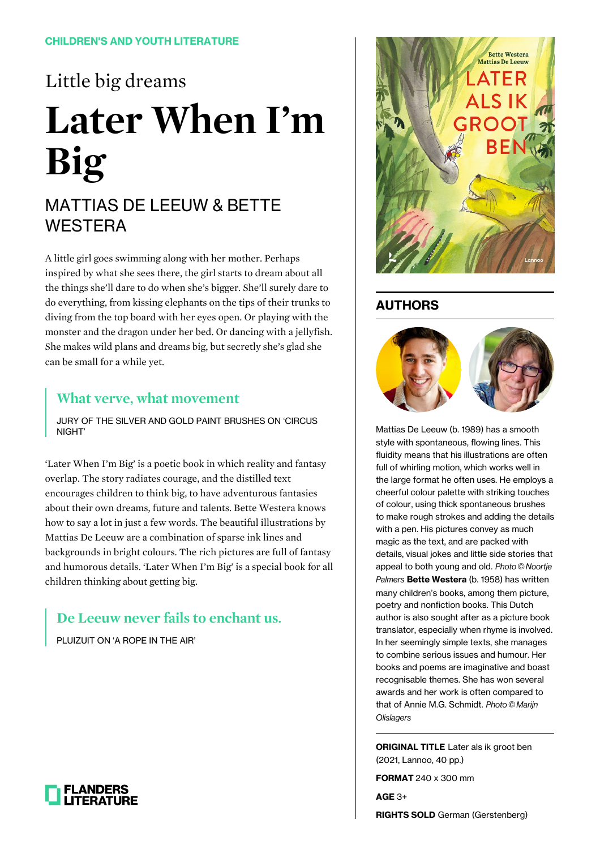# Little big dreams **Later When I'm Big**

## MATTIAS DE LEEUW & BETTE WESTERA

A little girl goes swimming along with her mother. Perhaps inspired by what she sees there, the girl starts to dream about all the things she'll dare to do when she's bigger. She'll surely dare to do everything, from kissing elephants on the tips of their trunks to diving from the top board with her eyes open. Or playing with the monster and the dragon under her bed. Or dancing with a jellyfish. She makes wild plans and dreams big, but secretly she's glad she can be small for a while yet.

#### **What verve, what movement**

JURY OF THE SILVER AND GOLD PAINT BRUSHES ON 'CIRCUS NIGHT'

'Later When I'm Big' is a poetic book in which reality and fantasy overlap. The story radiates courage, and the distilled text encourages children to think big, to have adventurous fantasies about their own dreams, future and talents. Bette Westera knows how to say a lot in just a few words. The beautiful illustrations by Mattias De Leeuw are a combination of sparse ink lines and backgrounds in bright colours. The rich pictures are full of fantasy and humorous details. 'Later When I'm Big' is a special book for all children thinking about getting big.

## **De Leeuw never fails to enchant us.**

PLUIZUIT ON 'A ROPE IN THE AIR'



### **AUTHORS**



Mattias De Leeuw (b. 1989) has a smooth style with spontaneous, flowing lines. This fluidity means that his illustrations are often full of whirling motion, which works well in the large format he often uses. He employs a cheerful colour palette with striking touches of colour, using thick spontaneous brushes to make rough strokes and adding the details with a pen. His pictures convey as much magic as the text, and are packed with details, visual jokes and little side stories that appeal to both young and old. Photo © Noortje Palmers **Bette Westera** (b. 1958) has written many children's books, among them picture, poetry and nonfiction books. This Dutch author is also sought after as a picture book translator, especially when rhyme is involved. In her seemingly simple texts, she manages to combine serious issues and humour. Her books and poems are imaginative and boast recognisable themes. She has won several awards and her work is often compared to that of Annie M.G. Schmidt. Photo © Marijn **Olislagers** 

**ORIGINAL TITLE** Later als ik groot ben (2021, Lannoo, 40 pp.)

**FORMAT** 240 x 300 mm

**AGE** 3+

**RIGHTS SOLD** German (Gerstenberg)